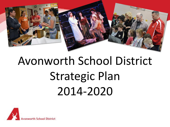

# Avonworth School District Strategic Plan 2014-2020

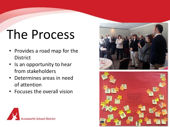# The Process

- Provides a road map for the District
- Is an opportunity to hear from stakeholders
- Determines areas in need of attention
- Focuses the overall vision





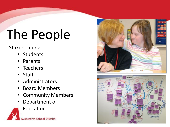# The People

#### Stakeholders:

- Students
- **Parents**
- Teachers
- Staff
- Administrators
- Board Members
- Community Members
- Department of
	- Education





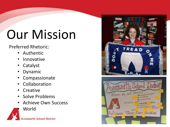# Our Mission

Preferred Rhetoric:

- Authentic
- Innovative
- Catalyst
- Dynamic
- Compassionate
- Collaboration
- Creative
- Solve Problems
- Achieve Own Success
	- World



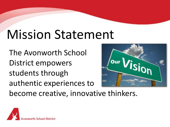## Mission Statement

The Avonworth School District empowers students through authentic experiences to



become creative, innovative thinkers.

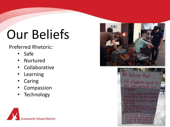# Our Beliefs

Preferred Rhetoric:

- Safe
- **Nurtured**
- **Collaborative**
- **Learning**
- **Caring**
- **Compassion**
- Technology





We believe that. I. All students need to strong school accentuates<br>laboration for all students echnology is a tool to support )ur community is only as<br>trong as our school distric **Vice versa** uriousity fuels a love learning and develops idents for the real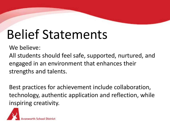## Belief Statements

We believe:

All students should feel safe, supported, nurtured, and engaged in an environment that enhances their strengths and talents.

Best practices for achievement include collaboration, technology, authentic application and reflection, while inspiring creativity.

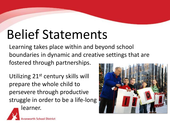## Belief Statements

Learning takes place within and beyond school boundaries in dynamic and creative settings that are fostered through partnerships.

Utilizing 21st century skills will prepare the whole child to persevere through productive struggle in order to be a life-long learner.



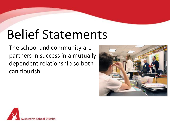## Belief Statements

The school and community are partners in success in a mutually dependent relationship so both can flourish.



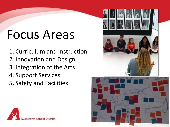## Focus Areas

1. Curriculum and Instruction 2. Innovation and Design 3. Integration of the Arts 4. Support Services 5. Safety and Facilities





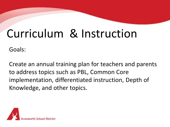#### Curriculum & Instruction

Goals:

Create an annual training plan for teachers and parents to address topics such as PBL, Common Core implementation, differentiated instruction, Depth of Knowledge, and other topics.

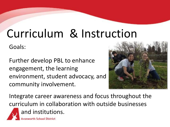#### Curriculum & Instruction

Goals:

Further develop PBL to enhance engagement, the learning environment, student advocacy, and community involvement.



Integrate career awareness and focus throughout the curriculum in collaboration with outside businesses and institutions.

orth School District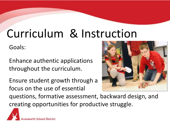#### Curriculum & Instruction

Goals:

Enhance authentic applications throughout the curriculum.

Ensure student growth through a focus on the use of essential



questions, formative assessment, backward design, and creating opportunities for productive struggle.

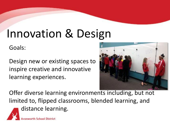#### Innovation & Design

Goals:

Design new or existing spaces to inspire creative and innovative learning experiences.

**th School District** 



Offer diverse learning environments including, but not limited to, flipped classrooms, blended learning, and distance learning.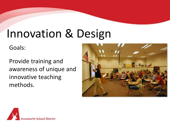#### Innovation & Design

Goals:

Provide training and awareness of unique and innovative teaching methods.



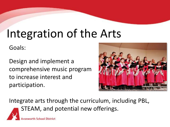#### Integration of the Arts

Goals:

Design and implement a comprehensive music program to increase interest and participation.

orth School District



Integrate arts through the curriculum, including PBL, STEAM, and potential new offerings.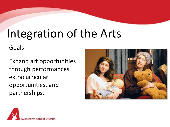#### Integration of the Arts

Goals:

Expand art opportunities through performances, extracurricular opportunities, and partnerships.



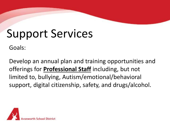Goals:

Develop an annual plan and training opportunities and offerings for **Professional Staff** including, but not limited to, bullying, Autism/emotional/behavioral support, digital citizenship, safety, and drugs/alcohol.

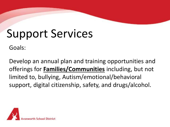Goals:

Develop an annual plan and training opportunities and offerings for **Families/Communities** including, but not limited to, bullying, Autism/emotional/behavioral support, digital citizenship, safety, and drugs/alcohol.

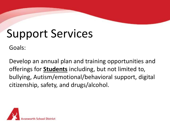Goals:

Develop an annual plan and training opportunities and offerings for **Students** including, but not limited to, bullying, Autism/emotional/behavioral support, digital citizenship, safety, and drugs/alcohol.

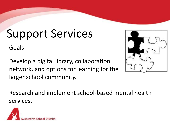Goals:

Develop a digital library, collaboration network, and options for learning for the larger school community.

Research and implement school-based mental health services.



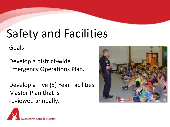#### Safety and Facilities

Goals:

Develop a district-wide Emergency Operations Plan.

Develop a Five (5) Year Facilities Master Plan that is reviewed annually.



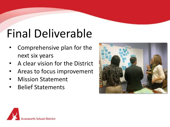## Final Deliverable

- Comprehensive plan for the next six years
- A clear vision for the District
- Areas to focus improvement
- Mission Statement
- Belief Statements